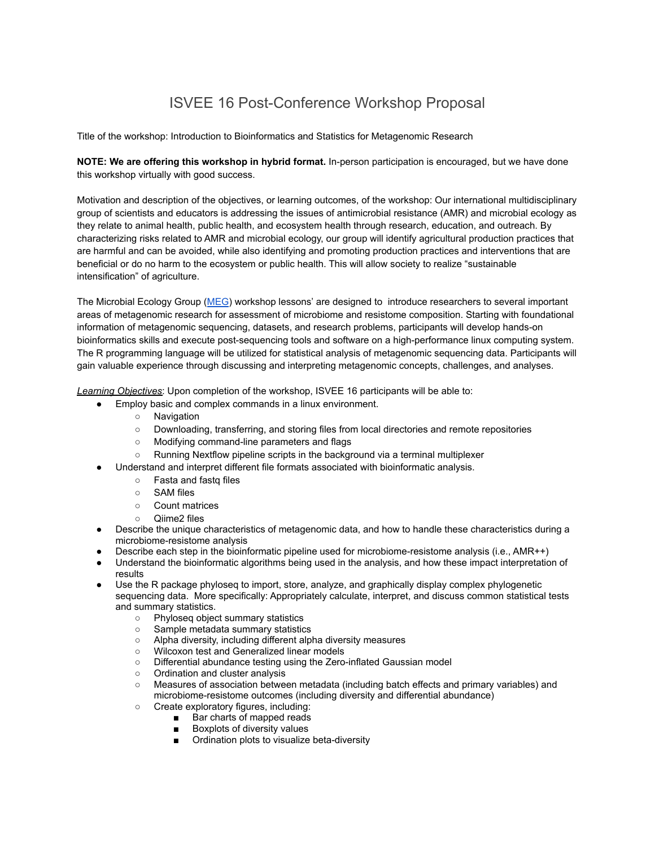# ISVEE 16 Post-Conference Workshop Proposal

Title of the workshop: Introduction to Bioinformatics and Statistics for Metagenomic Research

**NOTE: We are offering this workshop in hybrid format.** In-person participation is encouraged, but we have done this workshop virtually with good success.

Motivation and description of the objectives, or learning outcomes, of the workshop: Our international multidisciplinary group of scientists and educators is addressing the issues of antimicrobial resistance (AMR) and microbial ecology as they relate to animal health, public health, and ecosystem health through research, education, and outreach. By characterizing risks related to AMR and microbial ecology, our group will identify agricultural production practices that are harmful and can be avoided, while also identifying and promoting production practices and interventions that are beneficial or do no harm to the ecosystem or public health. This will allow society to realize "sustainable intensification" of agriculture.

The Microbial Ecology Group ([MEG](https://meg.colostate.edu/)) workshop lessons' are designed to introduce researchers to several important areas of metagenomic research for assessment of microbiome and resistome composition. Starting with foundational information of metagenomic sequencing, datasets, and research problems, participants will develop hands-on bioinformatics skills and execute post-sequencing tools and software on a high-performance linux computing system. The R programming language will be utilized for statistical analysis of metagenomic sequencing data. Participants will gain valuable experience through discussing and interpreting metagenomic concepts, challenges, and analyses.

*Learning Objectives*: Upon completion of the workshop, ISVEE 16 participants will be able to:

- Employ basic and complex commands in a linux environment.
	- Navigation
	- Downloading, transferring, and storing files from local directories and remote repositories
	- Modifying command-line parameters and flags
	- $\circ$  Running Nextflow pipeline scripts in the background via a terminal multiplexer
- Understand and interpret different file formats associated with bioinformatic analysis.
	- Fasta and fastq files
	- SAM files
	- Count matrices
	- Qiime2 files
- Describe the unique characteristics of metagenomic data, and how to handle these characteristics during a microbiome-resistome analysis
- Describe each step in the bioinformatic pipeline used for microbiome-resistome analysis (i.e., AMR++)
- Understand the bioinformatic algorithms being used in the analysis, and how these impact interpretation of results
- Use the R package phyloseq to import, store, analyze, and graphically display complex phylogenetic sequencing data. More specifically: Appropriately calculate, interpret, and discuss common statistical tests and summary statistics.
	- Phyloseq object summary statistics
	- Sample metadata summary statistics
	- Alpha diversity, including different alpha diversity measures
	- Wilcoxon test and Generalized linear models
	- Differential abundance testing using the Zero-inflated Gaussian model
	- Ordination and cluster analysis
	- Measures of association between metadata (including batch effects and primary variables) and microbiome-resistome outcomes (including diversity and differential abundance)
	- Create exploratory figures, including:
		- Bar charts of mapped reads
		- Boxplots of diversity values
		- Ordination plots to visualize beta-diversity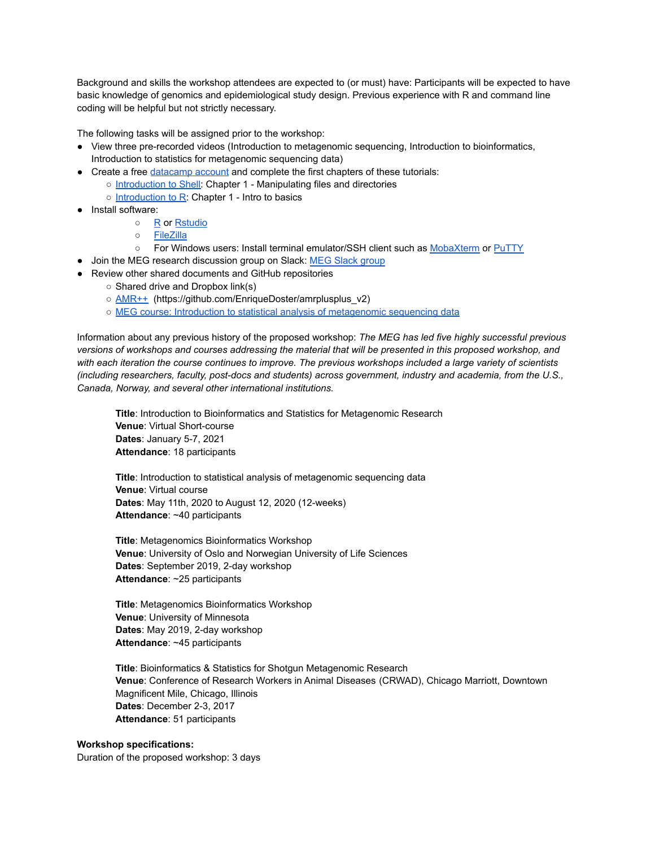Background and skills the workshop attendees are expected to (or must) have: Participants will be expected to have basic knowledge of genomics and epidemiological study design. Previous experience with R and command line coding will be helpful but not strictly necessary.

The following tasks will be assigned prior to the workshop:

- View three pre-recorded videos (Introduction to metagenomic sequencing, Introduction to bioinformatics, Introduction to statistics for metagenomic sequencing data)
- Create a free [datacamp account](https://www.datacamp.com/) and complete the first chapters of these tutorials:
	- [Introduction to Shell:](https://learn.datacamp.com/courses/introduction-to-shell) Chapter 1 Manipulating files and directories
	- [Introduction to R](https://learn.datacamp.com/courses/free-introduction-to-r): Chapter 1 Intro to basics
- Install software:
	- [R](https://www.r-project.org/) or [Rstudio](https://www.rstudio.com/products/rstudio/download/)
	- [FileZilla](https://filezilla-project.org/)
	- For Windows users: Install terminal emulator/SSH client such as [MobaXterm](https://mobaxterm.mobatek.net/) or [PuTTY](https://www.putty.org/)
- Join the MEG research discussion group on Slack: MEG [Slack group](https://meg-research.slack.com/)
- Review other shared documents and GitHub repositories
	- Shared drive and Dropbox link(s)
	- [AMR++](https://github.com/EnriqueDoster/amrplusplus_v2) (https://github.com/EnriqueDoster/amrplusplus\_v2)
	- [MEG course: Introduction to statistical analysis of metagenomic sequencing data](https://github.com/EnriqueDoster/MEG_intro_stats_course)

Information about any previous history of the proposed workshop: *The MEG has led five highly successful previous versions of workshops and courses addressing the material that will be presented in this proposed workshop, and with each iteration the course continues to improve. The previous workshops included a large variety of scientists (including researchers, faculty, post-docs and students) across government, industry and academia, from the U.S., Canada, Norway, and several other international institutions.*

**Title**: Introduction to Bioinformatics and Statistics for Metagenomic Research **Venue**: Virtual Short-course **Dates**: January 5-7, 2021 **Attendance**: 18 participants

**Title**: Introduction to statistical analysis of metagenomic sequencing data **Venue**: Virtual course **Dates**: May 11th, 2020 to August 12, 2020 (12-weeks) **Attendance**: ~40 participants

**Title**: Metagenomics Bioinformatics Workshop **Venue**: University of Oslo and Norwegian University of Life Sciences **Dates**: September 2019, 2-day workshop **Attendance**: ~25 participants

**Title**: Metagenomics Bioinformatics Workshop **Venue**: University of Minnesota **Dates**: May 2019, 2-day workshop **Attendance**: ~45 participants

**Title**: Bioinformatics & Statistics for Shotgun Metagenomic Research **Venue**: Conference of Research Workers in Animal Diseases (CRWAD), Chicago Marriott, Downtown Magnificent Mile, Chicago, Illinois **Dates**: December 2-3, 2017 **Attendance**: 51 participants

#### **Workshop specifications:**

Duration of the proposed workshop: 3 days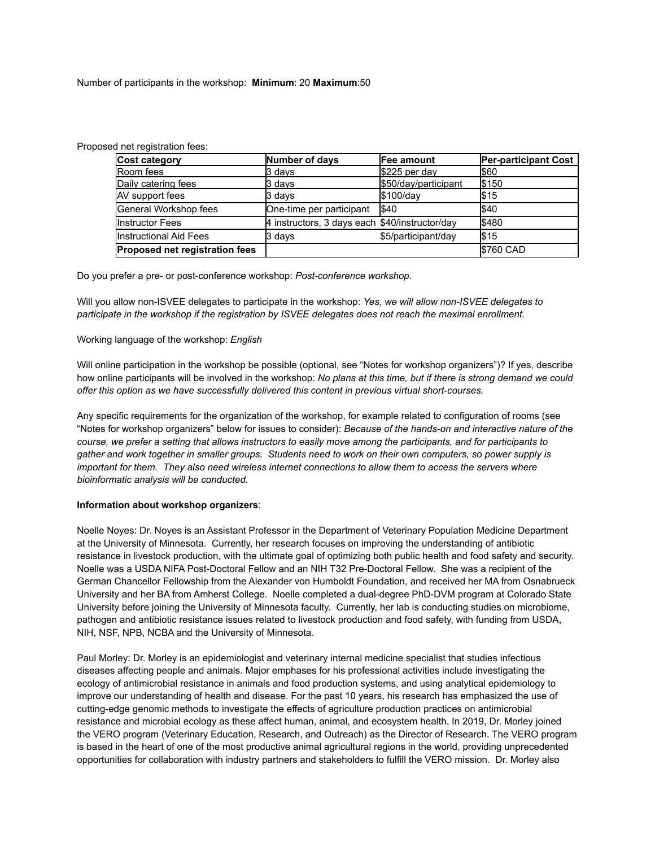Number of participants in the workshop: **Minimum**: 20 **Maximum**:50

| Cost category                  | Number of days                                 | <b>Fee amount</b>    | <b>Per-participant Cost</b> |
|--------------------------------|------------------------------------------------|----------------------|-----------------------------|
| Room fees                      | 3 davs                                         | $$225$ per day       | <b>S60</b>                  |
| Daily catering fees            | 3 days                                         | \$50/day/participant | \$150                       |
| AV support fees                | 3 days                                         | $$100$ /day          | \$15                        |
| General Workshop fees          | One-time per participant                       | $\sqrt{340}$         | $I$ \$40                    |
| Instructor Fees                | 4 instructors, 3 days each \$40/instructor/day |                      | <b>S480</b>                 |
| Instructional Aid Fees         | 3 days                                         | \$5/participant/day  | \$15                        |
| Proposed net registration fees |                                                |                      | <b>\$760 CAD</b>            |

Proposed net registration fees:

Do you prefer a pre- or post-conference workshop: *Post-conference workshop.*

Will you allow non-ISVEE delegates to participate in the workshop: *Yes, we will allow non-ISVEE delegates to participate in the workshop if the registration by ISVEE delegates does not reach the maximal enrollment.*

#### Working language of the workshop: *English*

Will online participation in the workshop be possible (optional, see "Notes for workshop organizers")? If yes, describe how online participants will be involved in the workshop: *No plans at this time, but if there is strong demand we could offer this option as we have successfully delivered this content in previous virtual short-courses.*

Any specific requirements for the organization of the workshop, for example related to configuration of rooms (see "Notes for workshop organizers" below for issues to consider): *Because of the hands-on and interactive nature of the course, we prefer a setting that allows instructors to easily move among the participants, and for participants to gather and work together in smaller groups. Students need to work on their own computers, so power supply is important for them. They also need wireless internet connections to allow them to access the servers where bioinformatic analysis will be conducted.*

#### **Information about workshop organizers**:

Noelle Noyes: Dr. Noyes is an Assistant Professor in the Department of Veterinary Population Medicine Department at the University of Minnesota. Currently, her research focuses on improving the understanding of antibiotic resistance in livestock production, with the ultimate goal of optimizing both public health and food safety and security. Noelle was a USDA NIFA Post-Doctoral Fellow and an NIH T32 Pre-Doctoral Fellow. She was a recipient of the German Chancellor Fellowship from the Alexander von Humboldt Foundation, and received her MA from Osnabrueck University and her BA from Amherst College. Noelle completed a dual-degree PhD-DVM program at Colorado State University before joining the University of Minnesota faculty. Currently, her lab is conducting studies on microbiome, pathogen and antibiotic resistance issues related to livestock production and food safety, with funding from USDA, NIH, NSF, NPB, NCBA and the University of Minnesota.

Paul Morley: Dr. Morley is an epidemiologist and veterinary internal medicine specialist that studies infectious diseases affecting people and animals. Major emphases for his professional activities include investigating the ecology of antimicrobial resistance in animals and food production systems, and using analytical epidemiology to improve our understanding of health and disease. For the past 10 years, his research has emphasized the use of cutting-edge genomic methods to investigate the effects of agriculture production practices on antimicrobial resistance and microbial ecology as these affect human, animal, and ecosystem health. In 2019, Dr. Morley joined the VERO program (Veterinary Education, Research, and Outreach) as the Director of Research. The VERO program is based in the heart of one of the most productive animal agricultural regions in the world, providing unprecedented opportunities for collaboration with industry partners and stakeholders to fulfill the VERO mission. Dr. Morley also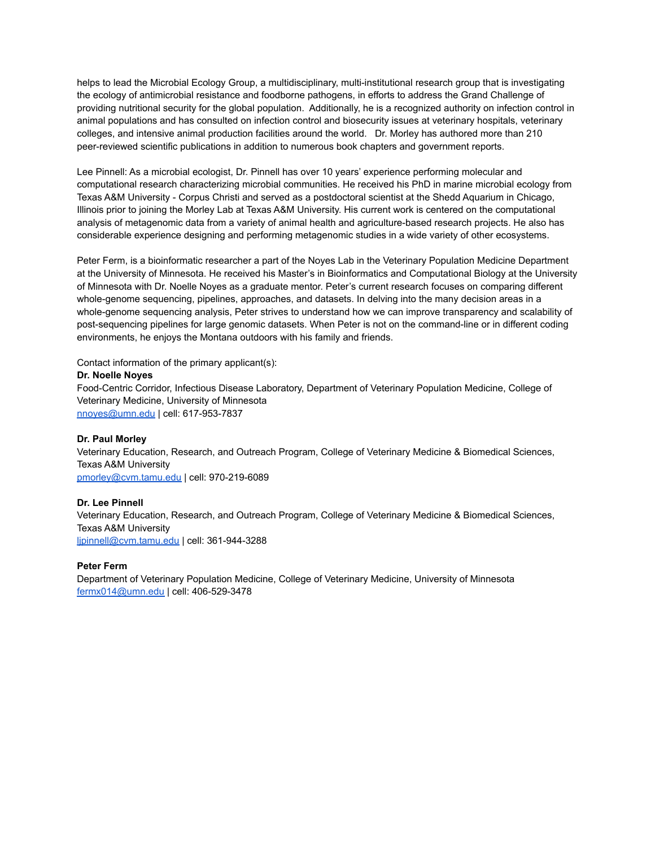helps to lead the Microbial Ecology Group, a multidisciplinary, multi-institutional research group that is investigating the ecology of antimicrobial resistance and foodborne pathogens, in efforts to address the Grand Challenge of providing nutritional security for the global population. Additionally, he is a recognized authority on infection control in animal populations and has consulted on infection control and biosecurity issues at veterinary hospitals, veterinary colleges, and intensive animal production facilities around the world. Dr. Morley has authored more than 210 peer-reviewed scientific publications in addition to numerous book chapters and government reports.

Lee Pinnell: As a microbial ecologist, Dr. Pinnell has over 10 years' experience performing molecular and computational research characterizing microbial communities. He received his PhD in marine microbial ecology from Texas A&M University - Corpus Christi and served as a postdoctoral scientist at the Shedd Aquarium in Chicago, Illinois prior to joining the Morley Lab at Texas A&M University. His current work is centered on the computational analysis of metagenomic data from a variety of animal health and agriculture-based research projects. He also has considerable experience designing and performing metagenomic studies in a wide variety of other ecosystems.

Peter Ferm, is a bioinformatic researcher a part of the Noyes Lab in the Veterinary Population Medicine Department at the University of Minnesota. He received his Master's in Bioinformatics and Computational Biology at the University of Minnesota with Dr. Noelle Noyes as a graduate mentor. Peter's current research focuses on comparing different whole-genome sequencing, pipelines, approaches, and datasets. In delving into the many decision areas in a whole-genome sequencing analysis, Peter strives to understand how we can improve transparency and scalability of post-sequencing pipelines for large genomic datasets. When Peter is not on the command-line or in different coding environments, he enjoys the Montana outdoors with his family and friends.

Contact information of the primary applicant(s):

#### **Dr. Noelle Noyes**

Food-Centric Corridor, Infectious Disease Laboratory, Department of Veterinary Population Medicine, College of Veterinary Medicine, University of Minnesota [nnoyes@umn.edu](mailto:nnoyes@umn.edu) | cell: 617-953-7837

#### **Dr. Paul Morley**

Veterinary Education, Research, and Outreach Program, College of Veterinary Medicine & Biomedical Sciences, Texas A&M University [pmorley@cvm.tamu.edu](mailto:pmorley@cvm.tamu.edu) | cell: 970-219-6089

## **Dr. Lee Pinnell**

Veterinary Education, Research, and Outreach Program, College of Veterinary Medicine & Biomedical Sciences, Texas A&M University lipinnell@cvm.tamu.edu | cell: 361-944-3288

## **Peter Ferm**

Department of Veterinary Population Medicine, College of Veterinary Medicine, University of Minnesota [fermx014@umn.edu](mailto:fermx014@umn.edu) | cell: 406-529-3478